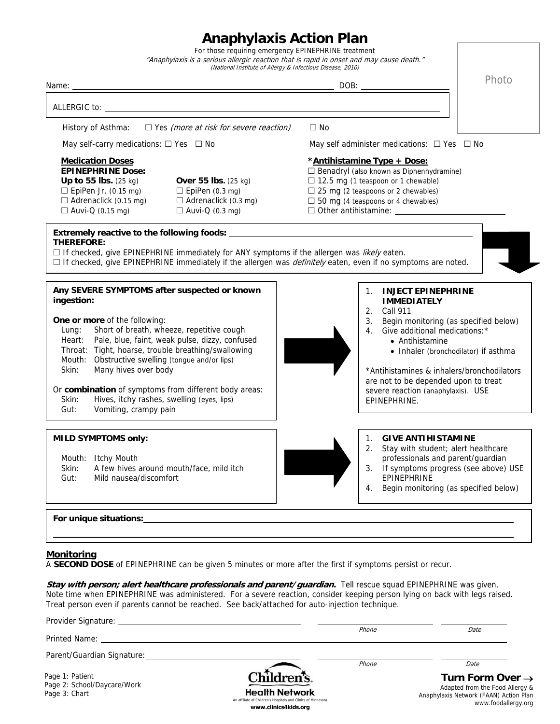## **Anaphylaxis Action Plan**

| For those requiring emergency EPINEPHRINE treatment<br>"Anaphylaxis is a serious allergic reaction that is rapid in onset and may cause death."<br>(National Institute of Allergy & Infectious Disease, 2010)                                                                                                                                                                                                                                                                                                                                                                                                                                                                                                                                                                                                                                 |
|-----------------------------------------------------------------------------------------------------------------------------------------------------------------------------------------------------------------------------------------------------------------------------------------------------------------------------------------------------------------------------------------------------------------------------------------------------------------------------------------------------------------------------------------------------------------------------------------------------------------------------------------------------------------------------------------------------------------------------------------------------------------------------------------------------------------------------------------------|
| Photo<br>DOB:                                                                                                                                                                                                                                                                                                                                                                                                                                                                                                                                                                                                                                                                                                                                                                                                                                 |
|                                                                                                                                                                                                                                                                                                                                                                                                                                                                                                                                                                                                                                                                                                                                                                                                                                               |
| $\Box$ Yes (more at risk for severe reaction)<br>$\Box$ No                                                                                                                                                                                                                                                                                                                                                                                                                                                                                                                                                                                                                                                                                                                                                                                    |
| May self-carry medications: $\Box$ Yes $\Box$ No<br>May self administer medications: $\Box$ Yes $\Box$ No                                                                                                                                                                                                                                                                                                                                                                                                                                                                                                                                                                                                                                                                                                                                     |
| *Antihistamine Type + Dose:<br><b>EPINEPHRINE Dose:</b><br>$\Box$ Benadryl (also known as Diphenhydramine)<br>$\Box$ 12.5 mg (1 teaspoon or 1 chewable)<br>Up to 55 lbs. $(25 \text{ kg})$<br>Over 55 lbs. (25 kg)<br>$\Box$ EpiPen Jr. (0.15 mg)<br>$\Box$ EpiPen (0.3 mg)<br>$\Box$ 25 mg (2 teaspoons or 2 chewables)<br>$\Box$ Adrenaclick (0.15 mg)<br>$\Box$ Adrenaclick (0.3 mg)<br>$\Box$ 50 mg (4 teaspoons or 4 chewables)<br>$\Box$ Auvi-Q (0.3 mg)<br>$\Box$ Other antihistamine: $\Box$<br>$\Box$ If checked, give EPINEPHRINE immediately for ANY symptoms if the allergen was <i>likely</i> eaten.<br>$\Box$ If checked, give EPINEPHRINE immediately if the allergen was <i>definitely</i> eaten, even if no symptoms are noted.                                                                                              |
| Any SEVERE SYMPTOMS after suspected or known<br><b>INJECT EPINEPHRINE</b><br>$1_{\cdot}$<br><b>IMMEDIATELY</b><br>2. Call 911<br>One or more of the following:<br>Begin monitoring (as specified below)<br>3.<br>Short of breath, wheeze, repetitive cough<br>Give additional medications:*<br>$4_{\odot}$<br>Heart: Pale, blue, faint, weak pulse, dizzy, confused<br>• Antihistamine<br>Throat: Tight, hoarse, trouble breathing/swallowing<br>• Inhaler (bronchodilator) if asthma<br>Mouth: Obstructive swelling (tongue and/or lips)<br>Many hives over body<br>*Antihistamines & inhalers/bronchodilators<br>are not to be depended upon to treat<br>Or combination of symptoms from different body areas:<br>severe reaction (anaphylaxis). USE<br>Hives, itchy rashes, swelling (eyes, lips)<br>EPINEPHRINE.<br>Vomiting, crampy pain |
| <b>GIVE ANTIHISTAMINE</b><br><b>MILD SYMPTOMS only:</b><br>1.<br>2.<br>Stay with student; alert healthcare<br>professionals and parent/guardian<br>A few hives around mouth/face, mild itch<br>If symptoms progress (see above) USE<br>3.<br>EPINEPHRINE<br>Mild nausea/discomfort<br>Begin monitoring (as specified below)<br>4.                                                                                                                                                                                                                                                                                                                                                                                                                                                                                                             |
| For unique situations:                                                                                                                                                                                                                                                                                                                                                                                                                                                                                                                                                                                                                                                                                                                                                                                                                        |

## **Monitoring**

A **SECOND DOSE** of EPINEPHRINE can be given 5 minutes or more after the first if symptoms persist or recur.

Stay with person; alert healthcare professionals and parent/guardian. Tell rescue squad EPINEPHRINE was given. Note time when EPINEPHRINE was administered. For a severe reaction, consider keeping person lying on back with legs raised. Treat person even if parents cannot be reached. See back/attached for auto-injection technique.

| Printed Name: The Communication of the Communication of the Communication of the Communication of the Communication of the Communication of the Communication of the Communication of the Communication of the Communication o |                                                                                                                               | Phone | Date                                                                                                                             |
|--------------------------------------------------------------------------------------------------------------------------------------------------------------------------------------------------------------------------------|-------------------------------------------------------------------------------------------------------------------------------|-------|----------------------------------------------------------------------------------------------------------------------------------|
| Parent/Guardian Signature:                                                                                                                                                                                                     |                                                                                                                               | Phone | Date                                                                                                                             |
| Page 1: Patient<br>Page 2: School/Daycare/Work<br>Page 3: Chart                                                                                                                                                                | Children's.<br><b>Health Network</b><br>An affiliate of Children's Hospitals and Clinics of Minnesota<br>www.clinics4kids.org |       | Turn Form Over $\rightarrow$<br>Adapted from the Food Allergy &<br>Anaphylaxis Network (FAAN) Action Plan<br>www.foodallergy.org |